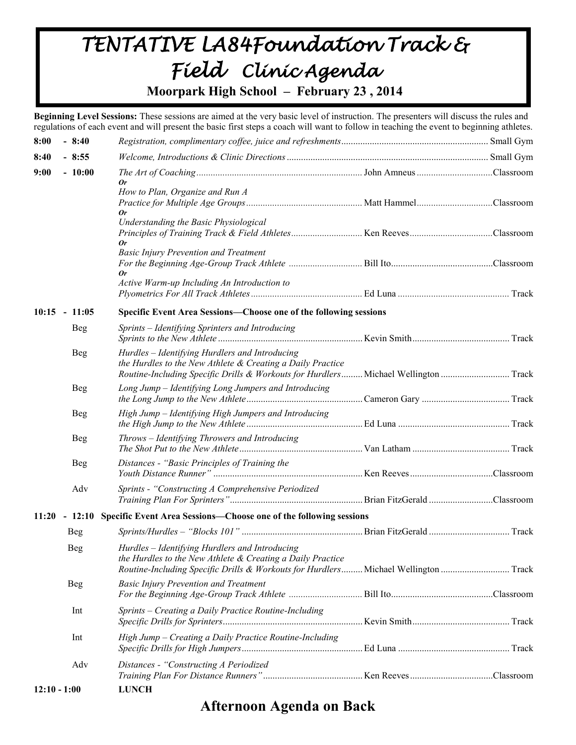# *TENTATIVE LA84Foundation Track & Field Clinic Agenda*

**Moorpark High School – February 23 , 2014**

**Beginning Level Sessions:** These sessions are aimed at the very basic level of instruction. The presenters will discuss the rules and regulations of each event and will present the basic first steps a coach will want to follow in teaching the event to beginning athletes.

| 8:00                                                                               | $-8:40$         |                                                                                                                                                   |  |  |  |
|------------------------------------------------------------------------------------|-----------------|---------------------------------------------------------------------------------------------------------------------------------------------------|--|--|--|
| 8:40                                                                               | $-8:55$         |                                                                                                                                                   |  |  |  |
| 9:00                                                                               | $-10:00$        |                                                                                                                                                   |  |  |  |
|                                                                                    |                 | 0r<br>How to Plan, Organize and Run A                                                                                                             |  |  |  |
|                                                                                    |                 |                                                                                                                                                   |  |  |  |
|                                                                                    |                 | 0r                                                                                                                                                |  |  |  |
|                                                                                    |                 | Understanding the Basic Physiological                                                                                                             |  |  |  |
|                                                                                    |                 | 0r                                                                                                                                                |  |  |  |
|                                                                                    |                 | <b>Basic Injury Prevention and Treatment</b>                                                                                                      |  |  |  |
|                                                                                    |                 | 0r                                                                                                                                                |  |  |  |
|                                                                                    |                 | Active Warm-up Including An Introduction to                                                                                                       |  |  |  |
|                                                                                    |                 |                                                                                                                                                   |  |  |  |
|                                                                                    | $10:15 - 11:05$ | Specific Event Area Sessions-Choose one of the following sessions                                                                                 |  |  |  |
|                                                                                    | <b>Beg</b>      | Sprints - Identifying Sprinters and Introducing                                                                                                   |  |  |  |
|                                                                                    |                 |                                                                                                                                                   |  |  |  |
|                                                                                    | <b>Beg</b>      | Hurdles - Identifying Hurdlers and Introducing                                                                                                    |  |  |  |
|                                                                                    |                 | the Hurdles to the New Athlete & Creating a Daily Practice<br>Routine-Including Specific Drills & Workouts for Hurdlers Michael Wellington  Track |  |  |  |
|                                                                                    | <b>Beg</b>      | Long Jump - Identifying Long Jumpers and Introducing                                                                                              |  |  |  |
|                                                                                    |                 |                                                                                                                                                   |  |  |  |
|                                                                                    | <b>Beg</b>      | High Jump - Identifying High Jumpers and Introducing                                                                                              |  |  |  |
|                                                                                    |                 |                                                                                                                                                   |  |  |  |
|                                                                                    | <b>Beg</b>      | Throws - Identifying Throwers and Introducing                                                                                                     |  |  |  |
|                                                                                    |                 |                                                                                                                                                   |  |  |  |
|                                                                                    | <b>Beg</b>      | Distances - "Basic Principles of Training the                                                                                                     |  |  |  |
|                                                                                    |                 |                                                                                                                                                   |  |  |  |
|                                                                                    | Adv             | Sprints - "Constructing A Comprehensive Periodized                                                                                                |  |  |  |
|                                                                                    |                 |                                                                                                                                                   |  |  |  |
| - 12:10 Specific Event Area Sessions—Choose one of the following sessions<br>11:20 |                 |                                                                                                                                                   |  |  |  |
|                                                                                    | <b>Beg</b>      |                                                                                                                                                   |  |  |  |
|                                                                                    | <b>Beg</b>      | Hurdles - Identifying Hurdlers and Introducing                                                                                                    |  |  |  |
|                                                                                    |                 | the Hurdles to the New Athlete & Creating a Daily Practice<br>Routine-Including Specific Drills & Workouts for Hurdlers Michael Wellington  Track |  |  |  |
|                                                                                    | <b>Beg</b>      | <b>Basic Injury Prevention and Treatment</b>                                                                                                      |  |  |  |
|                                                                                    |                 |                                                                                                                                                   |  |  |  |
|                                                                                    | Int             | Sprints - Creating a Daily Practice Routine-Including                                                                                             |  |  |  |
|                                                                                    |                 |                                                                                                                                                   |  |  |  |
|                                                                                    | Int             | High Jump - Creating a Daily Practice Routine-Including                                                                                           |  |  |  |
|                                                                                    |                 |                                                                                                                                                   |  |  |  |
|                                                                                    | Adv             | Distances - "Constructing A Periodized                                                                                                            |  |  |  |
|                                                                                    |                 |                                                                                                                                                   |  |  |  |
| $12:10 - 1:00$                                                                     |                 | <b>LUNCH</b>                                                                                                                                      |  |  |  |

## **Afternoon Agenda on Back**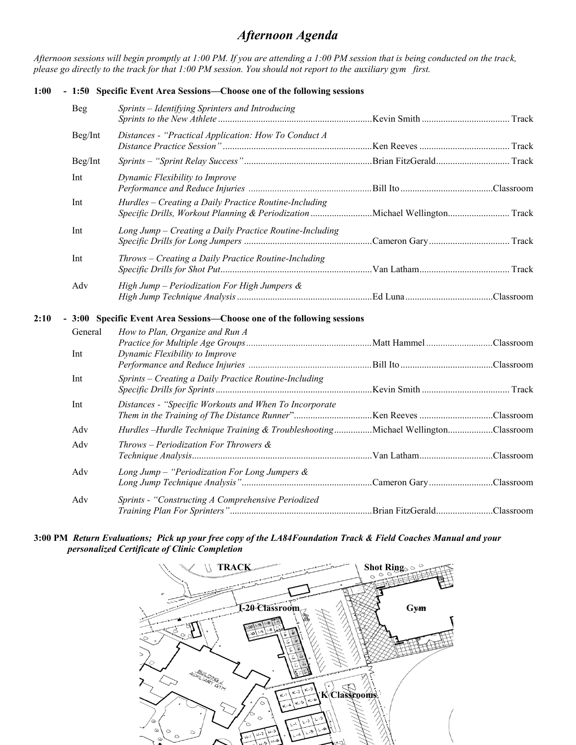## *Afternoon Agenda*

*Afternoon sessions will begin promptly at 1:00 PM. If you are attending a 1:00 PM session that is being conducted on the track, please go directly to the track for that 1:00 PM session. You should not report to the auxiliary gym first.*

### **1:00 - 1:50 Specific Event Area Sessions—Choose one of the following sessions**

|      | <b>Beg</b> | Sprints - Identifying Sprinters and Introducing                                |  |
|------|------------|--------------------------------------------------------------------------------|--|
|      | Beg/Int    | Distances - "Practical Application: How To Conduct A                           |  |
|      | Beg/Int    |                                                                                |  |
|      | Int        | Dynamic Flexibility to Improve                                                 |  |
|      | Int        | Hurdles - Creating a Daily Practice Routine-Including                          |  |
|      | Int        | Long Jump - Creating a Daily Practice Routine-Including                        |  |
|      | Int        | Throws - Creating a Daily Practice Routine-Including                           |  |
|      | Adv        | High Jump - Periodization For High Jumpers $\&$                                |  |
| 2:10 |            | - 3:00 Specific Event Area Sessions-Choose one of the following sessions       |  |
|      | General    | How to Plan, Organize and Run A                                                |  |
|      | Int        | Dynamic Flexibility to Improve                                                 |  |
|      | Int        | Sprints - Creating a Daily Practice Routine-Including                          |  |
|      | Int        | Distances - "Specific Workouts and When To Incorporate                         |  |
|      | Adv        | Hurdles-Hurdle Technique Training & TroubleshootingMichael WellingtonClassroom |  |
|      | Adv        | $Throws - Periodization For Throwers &$                                        |  |
|      | Adv        | Long Jump – "Periodization For Long Jumpers $\&$                               |  |
|      | Adv        | Sprints - "Constructing A Comprehensive Periodized                             |  |

#### **3:00 PM** *Return Evaluations; Pick up your free copy of the LA84Foundation Track & Field Coaches Manual and your personalized Certificate of Clinic Completion*